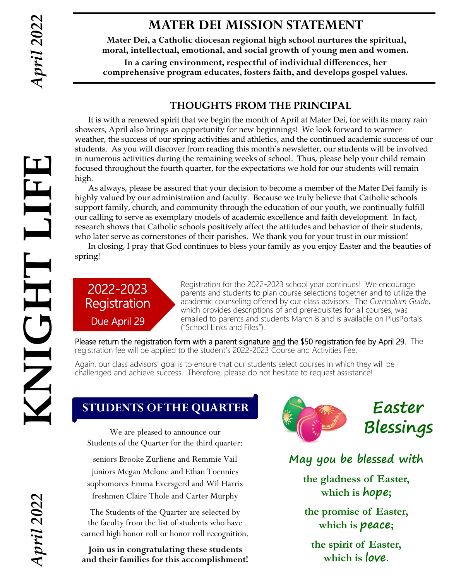LIH

THDIN

# **MATER DEI MISSION STATEMENT**

**Mater Dei, a Catholic diocesan regional high school nurtures the spiritual, moral, intellectual, emotional, and social growth of young men and women.**

**In a caring environment, respectful of individual differences, her comprehensive program educates, fosters faith, and develops gospel values.**

# **THOUGHTS FROM THE PRINCIPAL**

It is with a renewed spirit that we begin the month of April at Mater Dei, for with its many rain showers, April also brings an opportunity for new beginnings! We look forward to warmer weather, the success of our spring activities and athletics, and the continued academic success of our students. As you will discover from reading this month's newsletter, our students will be involved in numerous activities during the remaining weeks of school. Thus, please help your child remain focused throughout the fourth quarter, for the expectations we hold for our students will remain high.

As always, please be assured that your decision to become a member of the Mater Dei family is highly valued by our administration and faculty. Because we truly believe that Catholic schools support family, church, and community through the education of our youth, we continually fulfill our calling to serve as exemplary models of academic excellence and faith development. In fact, research shows that Catholic schools positively affect the attitudes and behavior of their students, who later serve as cornerstones of their parishes. We thank you for your trust in our mission! **KNIGHT LIFE**

In closing, I pray that God continues to bless your family as you enjoy Easter and the beauties of spring!

# 2022-2023 **Registration** Due April 29

Registration for the 2022-2023 school year continues! We encourage parents and students to plan course selections together and to utilize the academic counseling offered by our class advisors. The *Curriculum Guide*, which provides descriptions of and prerequisites for all courses, was emailed to parents and students March 8 and is available on PlusPortals ("School Links and Files").

Please return the registration form with a parent signature and the \$50 registration fee by April 29. The registration fee will be applied to the student's 2022-2023 Course and Activities Fee.

Again, our class advisors' goal is to ensure that our students select courses in which they will be challenged and achieve success. Therefore, please do not hesitate to request assistance!

# **STUDENTS OF THE QUARTER**

We are pleased to announce our Students of the Quarter for the third quarter:

seniors Brooke Zurliene and Remmie Vail juniors Megan Melone and Ethan Toennies sophomores Emma Eversgerd and Wil Harris freshmen Claire Thole and Carter Murphy

The Students of the Quarter are selected by the faculty from the list of students who have earned high honor roll or honor roll recognition.

**Join us in congratulating these students and their families for this accomplishment!** 



**May you be blessed with**

**the gladness of Easter, which is hope;**

**the promise of Easter, which is peace;**

**the spirit of Easter, which is love.**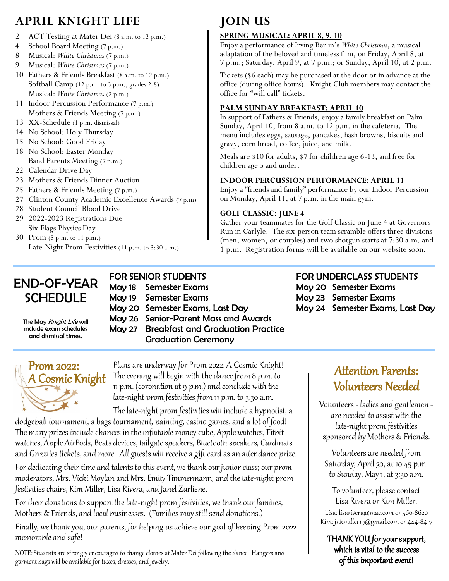# **APRIL KNIGHT LIFE**

- 2 ACT Testing at Mater Dei (8 a.m. to 12 p.m.)
- 4 School Board Meeting (7 p.m.)
- 8 Musical: *White Christmas* (7 p.m.)
- 9 Musical: *White Christmas* (7 p.m.)
- 10 Fathers & Friends Breakfast (8 a.m. to 12 p.m.) Softball Camp (12 p.m. to 3 p.m., grades 2-8) Musical: *White Christmas* (2 p.m.)
- 11 Indoor Percussion Performance (7 p.m.) Mothers & Friends Meeting (7 p.m.)
- 13 XX-Schedule (1 p.m. dismissal)
- 14 No School: Holy Thursday
- 15 No School: Good Friday
- 18 No School: Easter Monday Band Parents Meeting (7 p.m.)
- 22 Calendar Drive Day
- 23 Mothers & Friends Dinner Auction
- 25 Fathers & Friends Meeting (7 p.m.)
- 27 Clinton County Academic Excellence Awards (7 p.m)
- 28 Student Council Blood Drive
- 29 2022-2023 Registrations Due Six Flags Physics Day
- 30 Prom (8 p.m. to 11 p.m.) Late-Night Prom Festivities (11 p.m. to 3:30 a.m.)

# **JOIN US**

### **SPRING MUSICAL: APRIL 8, 9, 10**

Enjoy a performance of Irving Berlin's *White Christmas*, a musical adaptation of the beloved and timeless film, on Friday, April 8, at 7 p.m.; Saturday, April 9, at 7 p.m.; or Sunday, April 10, at 2 p.m.

Tickets (\$6 each) may be purchased at the door or in advance at the office (during office hours). Knight Club members may contact the office for "will call" tickets.

#### **PALM SUNDAY BREAKFAST: APRIL 10**

In support of Fathers & Friends, enjoy a family breakfast on Palm Sunday, April 10, from 8 a.m. to 12 p.m. in the cafeteria. The menu includes eggs, sausage, pancakes, hash browns, biscuits and gravy, corn bread, coffee, juice, and milk.

Meals are \$10 for adults, \$7 for children age 6-13, and free for children age 5 and under.

### **INDOOR PERCUSSION PERFORMANCE: APRIL 11**

Enjoy a "friends and family" performance by our Indoor Percussion on Monday, April 11, at 7 p.m. in the main gym.

### **GOLF CLASSIC: JUNE 4**

Gather your teammates for the Golf Classic on June 4 at Governors Run in Carlyle! The six-person team scramble offers three divisions (men, women, or couples) and two shotgun starts at 7:30 a.m. and 1 p.m. Registration forms will be available on our website soon.

# END-OF-YEAR **SCHEDULE**

# FOR SENIOR STUDENTS

May 18 Semester Exams May 19 Semester Exams May 20 Semester Exams, Last Day May 26 Senior-Parent Mass and Awards May 27 Breakfast and Graduation Practice Graduation Ceremony

# FOR UNDERCLASS STUDENTS

May 20 Semester Exams May 23 Semester Exams May 24 Semester Exams, Last Day

The May Knight Life will include exam schedules and dismissal times.



Plans are underway for Prom 2022: A Cosmic Knight! The evening will begin with the dance from 8 p.m. to 11 p.m. (coronation at 9 p.m.) and conclude with the late-night prom festivities from 11 p.m. to 3:30 a.m.

The late-night prom festivities will include a hypnotist, a dodgeball tournament, a bags tournament, painting, casino games, and a lot of food! The many prizes include chances in the inflatable money cube, Apple watches, Fitbit

watches, Apple AirPods, Beats devices, tailgate speakers, Bluetooth speakers, Cardinals and Grizzlies tickets, and more. All guests will receive a gift card as an attendance prize.

For dedicating their time and talents to this event, we thank our junior class; our prom moderators, Mrs. Vicki Moylan and Mrs. Emily Timmermann; and the late-night prom festivities chairs, Kim Miller, Lisa Rivera, and Janel Zurliene.

For their donations to support the late-night prom festivities, we thank our families, Mothers & Friends, and local businesses. (Families may still send donations.)

Finally, we thank you, our parents, for helping us achieve our goal of keeping Prom 2022 memorable and safe!

NOTE: Students are strongly encouraged to change clothes at Mater Dei following the dance. Hangers and garment bags will be available for tuxes, dresses, and jewelry.

# Attention Parents: Volunteers Needed

Volunteers - ladies and gentlemen are needed to assist with the late-night prom festivities sponsored by Mothers & Friends.

Volunteers are needed from Saturday, April 30, at 10:45 p.m. to Sunday, May 1, at 3:30 a.m.

To volunteer, please contact Lisa Rivera or Kim Miller.

Lisa: lisarivera@mac.com or 560-8620 Kim: jnkmiller19@gmail.com or 444-8417

THANK YOU for your support, which is vital to the success of this important event!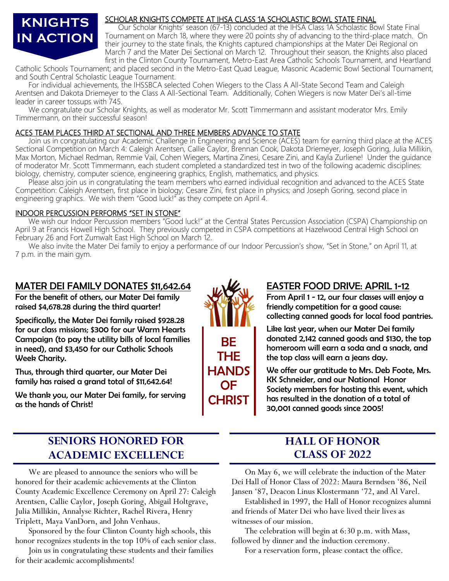# **KNIGHTS IN ACTION**

#### SCHOLAR KNIGHTS COMPETE AT IHSA CLASS 1A SCHOLASTIC BOWL STATE FINAL

Our Scholar Knights' season (67-13) concluded at the IHSA Class 1A Scholastic Bowl State Final Tournament on March 18, where they were 20 points shy of advancing to the third-place match. On their journey to the state finals, the Knights captured championships at the Mater Dei Regional on March 7 and the Mater Dei Sectional on March 12. Throughout their season, the Knights also placed first in the Clinton County Tournament, Metro-East Area Catholic Schools Tournament, and Heartland

Catholic Schools Tournament; and placed second in the Metro-East Quad League, Masonic Academic Bowl Sectional Tournament, and South Central Scholastic League Tournament.

 For individual achievements, the IHSSBCA selected Cohen Wiegers to the Class A All-State Second Team and Caleigh Arentsen and Dakota Driemeyer to the Class A All-Sectional Team. Additionally, Cohen Wiegers is now Mater Dei's all-time leader in career tossups with 745.

We congratulate our Scholar Knights, as well as moderator Mr. Scott Timmermann and assistant moderator Mrs. Emily Timmermann, on their successful season!

### ACES TEAM PLACES THIRD AT SECTIONAL AND THREE MEMBERS ADVANCE TO STATE

 Join us in congratulating our Academic Challenge in Engineering and Science (ACES) team for earning third place at the ACES Sectional Competition on March 4: Caleigh Arentsen, Callie Caylor, Brennan Cook, Dakota Driemeyer, Joseph Goring, Julia Millikin, Max Morton, Michael Redman, Remmie Vail, Cohen Wiegers, Martina Zinesi, Cesare Zini, and Kayla Zurliene! Under the guidance of moderator Mr. Scott Timmermann, each student completed a standardized test in two of the following academic disciplines: biology, chemistry, computer science, engineering graphics, English, mathematics, and physics.

Please also join us in congratulating the team members who earned individual recognition and advanced to the ACES State Competition: Caleigh Arentsen, first place in biology; Cesare Zini, first place in physics; and Joseph Goring, second place in engineering graphics. We wish them "Good luck!" as they compete on April 4.

### INDOOR PERCUSSION PERFORMS "SET IN STONE"

We wish our Indoor Percussion members "Good luck!" at the Central States Percussion Association (CSPA) Championship on April 9 at Francis Howell High School. They previously competed in CSPA competitions at Hazelwood Central High School on February 26 and Fort Zumwalt East High School on March 12.

We also invite the Mater Dei family to enjoy a performance of our Indoor Percussion's show, "Set in Stone," on April 11, at 7 p.m. in the main gym.

# MATER DEI FAMILY DONATES \$11,642.64

For the benefit of others, our Mater Dei family raised \$4,678.28 during the third quarter!

Specifically, the Mater Dei family raised \$928.28 for our class missions; \$300 for our Warm Hearts Campaign (to pay the utility bills of local families in need), and \$3,450 for our Catholic Schools Week Charity.

Thus, through third quarter, our Mater Dei family has raised a grand total of \$11,642.64!

We thank you, our Mater Dei family, for serving as the hands of Christ!



## EASTER FOOD DRIVE: APRIL 1-12

From April 1 - 12, our four classes will enjoy a friendly competition for a good cause: collecting canned goods for local food pantries.

Like last year, when our Mater Dei family donated 2,142 canned goods and \$130, the top homeroom will earn a soda and a snack, and the top class will earn a jeans day.

We offer our gratitude to Mrs. Deb Foote, Mrs. KK Schneider, and our National Honor Society members for hosting this event, which has resulted in the donation of a total of 30,001 canned goods since 2005!

# **SENIORS HONORED FOR ACADEMIC EXCELLENCE**

We are pleased to announce the seniors who will be honored for their academic achievements at the Clinton County Academic Excellence Ceremony on April 27: Caleigh Arentsen, Callie Caylor, Joseph Goring, Abigail Holtgrave, Julia Millikin, Annalyse Richter, Rachel Rivera, Henry Triplett, Maya VanDorn, and John Venhaus.

Sponsored by the four Clinton County high schools, this honor recognizes students in the top 10% of each senior class.

Join us in congratulating these students and their families for their academic accomplishments!

# **HALL OF HONOR CLASS OF 2022**

On May 6, we will celebrate the induction of the Mater Dei Hall of Honor Class of 2022: Maura Berndsen '86, Neil Jansen '87, Deacon Linus Klostermann '72, and Al Varel.

Established in 1997, the Hall of Honor recognizes alumni and friends of Mater Dei who have lived their lives as witnesses of our mission.

The celebration will begin at 6:30 p.m. with Mass, followed by dinner and the induction ceremony.

For a reservation form, please contact the office.